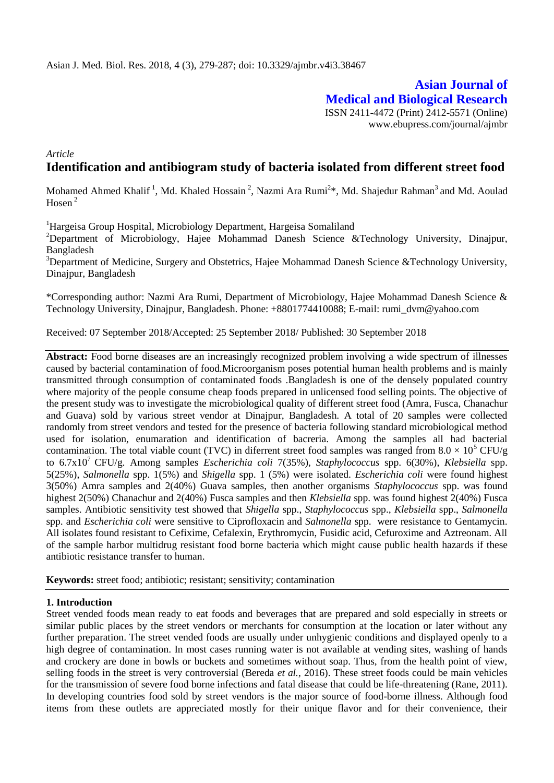## **Asian Journal of Medical and Biological Research** ISSN 2411-4472 (Print) 2412-5571 (Online) www.ebupress.com/journal/ajmbr

*Article*

# **Identification and antibiogram study of bacteria isolated from different street food**

Mohamed Ahmed Khalif<sup>1</sup>, Md. Khaled Hossain<sup>2</sup>, Nazmi Ara Rumi<sup>2\*</sup>, Md. Shajedur Rahman<sup>3</sup> and Md. Aoulad Hosen<sup>2</sup>

<sup>1</sup>Hargeisa Group Hospital, Microbiology Department, Hargeisa Somaliland

<sup>2</sup>Department of Microbiology, Hajee Mohammad Danesh Science &Technology University, Dinajpur, Bangladesh

<sup>3</sup>Department of Medicine, Surgery and Obstetrics, Hajee Mohammad Danesh Science &Technology University, Dinajpur, Bangladesh

\*Corresponding author: Nazmi Ara Rumi, Department of Microbiology, Hajee Mohammad Danesh Science & Technology University, Dinajpur, Bangladesh. Phone: +8801774410088; E-mail: rumi\_dvm@yahoo.com

Received: 07 September 2018/Accepted: 25 September 2018/ Published: 30 September 2018

Abstract: Food borne diseases are an increasingly recognized problem involving a wide spectrum of illnesses caused by bacterial contamination of food.Microorganism poses potential human health problems and is mainly transmitted through consumption of contaminated foods .Bangladesh is one of the densely populated country where majority of the people consume cheap foods prepared in unlicensed food selling points. The objective of the present study was to investigate the microbiological quality of different street food (Amra, Fusca, Chanachur and Guava) sold by various street vendor at Dinajpur, Bangladesh. A total of 20 samples were collected randomly from street vendors and tested for the presence of bacteria following standard microbiological method used for isolation, enumaration and identification of bacreria. Among the samples all had bacterial contamination. The total viable count (TVC) in diferrent street food samples was ranged from  $8.0 \times 10^5$  CFU/g to 6.7x10<sup>7</sup>CFU/g. Among samples *Escherichia coli* 7(35%), *Staphylococcus* spp. 6(30%), *Klebsiella* spp. 5(25%), *Salmonella* spp. 1(5%) and *Shigella* spp. 1 (5%) were isolated. *Escherichia coli* were found highest 3(50%) Amra samples and 2(40%) Guava samples, then another organisms *Staphylococcus* spp. was found highest 2(50%) Chanachur and 2(40%) Fusca samples and then *Klebsiella* spp. was found highest 2(40%) Fusca samples. Antibiotic sensitivity test showed that *Shigella* spp., *Staphylococcus* spp., *Klebsiella* spp., *Salmonella* spp. and *Escherichia coli* were sensitive to Ciprofloxacin and *Salmonella* spp. were resistance to Gentamycin. All isolates found resistant to Cefixime, Cefalexin, Erythromycin, Fusidic acid, Cefuroxime and Aztreonam. All of the sample harbor multidrug resistant food borne bacteria which might cause public health hazards if these antibiotic resistance transfer to human.

**Keywords:** street food; antibiotic; resistant; sensitivity; contamination

#### **1. Introduction**

Street vended foods mean ready to eat foods and beverages that are prepared and sold especially in streets or similar public places by the street vendors or merchants for consumption at the location or later without any further preparation. The street vended foods are usually under unhygienic conditions and displayed openly to a high degree of contamination. In most cases running water is not available at vending sites, washing of hands and crockery are done in bowls or buckets and sometimes without soap. Thus, from the health point of view, selling foods in the street is very controversial (Bereda *et al.,* 2016). These street foods could be main vehicles for the transmission of severe food borne infections and fatal disease that could be life-threatening (Rane, 2011). In developing countries food sold by street vendors is the major source of food-borne illness. Although food items from these outlets are appreciated mostly for their unique flavor and for their convenience, their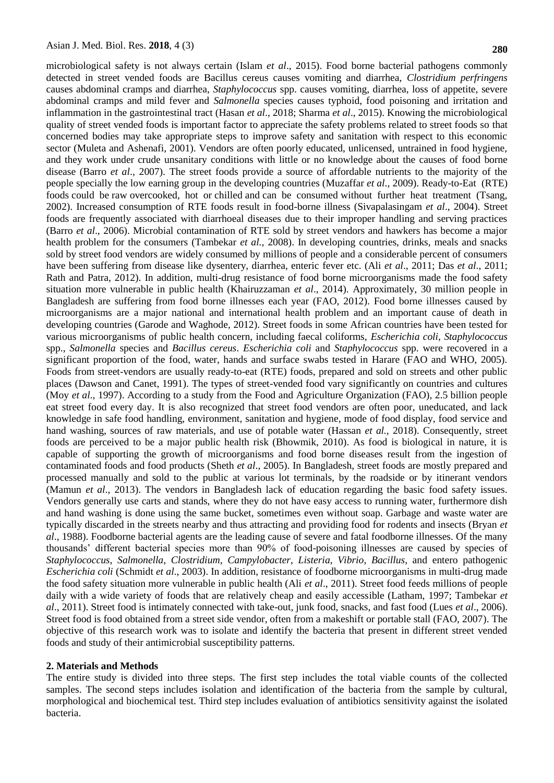microbiological safety is not always certain (Islam *et al*., 2015). Food borne bacterial pathogens commonly detected in street vended foods are Bacillus cereus causes vomiting and diarrhea, *Clostridium perfringens* causes abdominal cramps and diarrhea, *Staphylococcus* spp. causes vomiting, diarrhea, loss of appetite, severe abdominal cramps and mild fever and *Salmonella* species causes typhoid, food poisoning and irritation and inflammation in the gastrointestinal tract (Hasan *et al*., 2018; Sharma *et al*., 2015). Knowing the microbiological quality of street vended foods is important factor to appreciate the safety problems related to street foods so that concerned bodies may take appropriate steps to improve safety and sanitation with respect to this economic sector (Muleta and Ashenafi, 2001). Vendors are often poorly educated, unlicensed, untrained in food hygiene, and they work under crude unsanitary conditions with little or no knowledge about the causes of food borne disease (Barro *et al*., 2007). The street foods provide a source of affordable nutrients to the majority of the people specially the low earning group in the developing countries (Muzaffar *et al*., 2009). Ready-to-Eat (RTE) foods could be raw overcooked, hot or chilled and can be consumed without further heat treatment (Tsang, 2002). Increased consumption of RTE foods result in food-borne illness (Sivapalasingam *et al*., 2004). Street foods are frequently associated with diarrhoeal diseases due to their improper handling and serving practices (Barro *et al*., 2006). Microbial contamination of RTE sold by street vendors and hawkers has become a major health problem for the consumers (Tambekar *et al.,* 2008). In developing countries, drinks, meals and snacks sold by street food vendors are widely consumed by millions of people and a considerable percent of consumers have been suffering from disease like dysentery, diarrhea, enteric fever etc. (Ali *et al*., 2011; Das *et al*., 2011; Rath and Patra, 2012). In addition, multi-drug resistance of food borne microorganisms made the food safety situation more vulnerable in public health (Khairuzzaman *et al*., 2014). Approximately, 30 million people in Bangladesh are suffering from food borne illnesses each year (FAO, 2012). Food borne illnesses caused by microorganisms are a major national and international health problem and an important cause of death in developing countries (Garode and Waghode, 2012). Street foods in some African countries have been tested for various microorganisms of public health concern, including faecal coliforms, *Escherichia coli*, *Staphylococcus* spp., *Salmonella* species and *Bacillus cereus*. *Escherichia coli* and *Staphylococcus* spp. were recovered in a significant proportion of the food, water, hands and surface swabs tested in Harare (FAO and WHO, 2005). Foods from street-vendors are usually ready-to-eat (RTE) foods, prepared and sold on streets and other public places (Dawson and Canet, 1991). The types of street-vended food vary significantly on countries and cultures (Moy *et al*., 1997). According to a study from the Food and Agriculture Organization (FAO), 2.5 billion people eat street food every day. It is also recognized that street food vendors are often poor, uneducated, and lack knowledge in safe food handling, environment, sanitation and hygiene, mode of food display, food service and hand washing, sources of raw materials, and use of potable water (Hassan *et al.,* 2018). Consequently, street foods are perceived to be a major public health risk (Bhowmik, 2010). As food is biological in nature, it is capable of supporting the growth of microorganisms and food borne diseases result from the ingestion of contaminated foods and food products (Sheth *et al*., 2005). In Bangladesh, street foods are mostly prepared and processed manually and sold to the public at various lot terminals, by the roadside or by itinerant vendors (Mamun *et al*., 2013). The vendors in Bangladesh lack of education regarding the basic food safety issues. Vendors generally use carts and stands, where they do not have easy access to running water, furthermore dish and hand washing is done using the same bucket, sometimes even without soap. Garbage and waste water are typically discarded in the streets nearby and thus attracting and providing food for rodents and insects (Bryan *et al*., 1988). Foodborne bacterial agents are the leading cause of severe and fatal foodborne illnesses. Of the many thousands' different bacterial species more than 90% of food-poisoning illnesses are caused by species of *Staphylococcus*, *Salmonella*, *Clostridium*, *Campylobacter*, *Listeria*, *Vibrio*, *Bacillus*, and entero pathogenic *Escherichia coli* (Schmidt *et al*., 2003). In addition, resistance of foodborne microorganisms in multi-drug made the food safety situation more vulnerable in public health (Ali *et al*., 2011). Street food feeds millions of people daily with a wide variety of foods that are relatively cheap and easily accessible (Latham, 1997; Tambekar *et al*., 2011). Street food is intimately connected with take-out, junk food, snacks, and fast food (Lues *et al*., 2006). Street food is food obtained from a street side vendor, often from a makeshift or portable stall (FAO, 2007). The objective of this research work was to isolate and identify the bacteria that present in different street vended foods and study of their antimicrobial susceptibility patterns.

#### **2. Materials and Methods**

The entire study is divided into three steps. The first step includes the total viable counts of the collected samples. The second steps includes isolation and identification of the bacteria from the sample by cultural, morphological and biochemical test. Third step includes evaluation of antibiotics sensitivity against the isolated bacteria.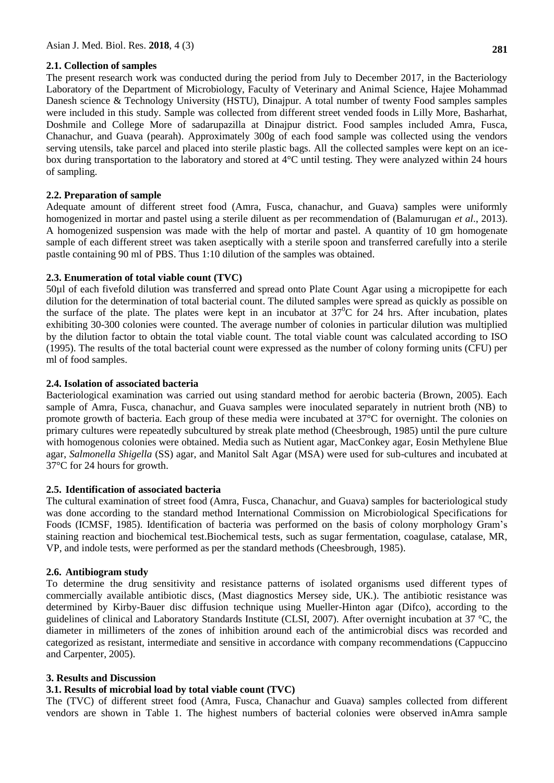## **2.1. Collection of samples**

**281**

The present research work was conducted during the period from July to December 2017, in the Bacteriology Laboratory of the Department of Microbiology, Faculty of Veterinary and Animal Science, Hajee Mohammad Danesh science & Technology University (HSTU), Dinajpur. A total number of twenty Food samples samples were included in this study. Sample was collected from different street vended foods in Lilly More, Basharhat, Doshmile and College More of sadarupazilla at Dinajpur district. Food samples included Amra, Fusca, Chanachur, and Guava (pearah). Approximately 300g of each food sample was collected using the vendors serving utensils, take parcel and placed into sterile plastic bags. All the collected samples were kept on an icebox during transportation to the laboratory and stored at 4°C until testing. They were analyzed within 24 hours of sampling.

## **2.2. Preparation of sample**

Adequate amount of different street food (Amra, Fusca, chanachur, and Guava) samples were uniformly homogenized in mortar and pastel using a sterile diluent as per recommendation of (Balamurugan *et al*., 2013). A homogenized suspension was made with the help of mortar and pastel. A quantity of 10 gm homogenate sample of each different street was taken aseptically with a sterile spoon and transferred carefully into a sterile pastle containing 90 ml of PBS. Thus 1:10 dilution of the samples was obtained.

## **2.3. Enumeration of total viable count (TVC)**

50µl of each fivefold dilution was transferred and spread onto Plate Count Agar using a micropipette for each dilution for the determination of total bacterial count. The diluted samples were spread as quickly as possible on the surface of the plate. The plates were kept in an incubator at  $37^{\circ}$ C for 24 hrs. After incubation, plates exhibiting 30-300 colonies were counted. The average number of colonies in particular dilution was multiplied by the dilution factor to obtain the total viable count. The total viable count was calculated according to ISO (1995). The results of the total bacterial count were expressed as the number of colony forming units (CFU) per ml of food samples.

## **2.4. Isolation of associated bacteria**

Bacteriological examination was carried out using standard method for aerobic bacteria (Brown, 2005). Each sample of Amra, Fusca, chanachur, and Guava samples were inoculated separately in nutrient broth (NB) to promote growth of bacteria. Each group of these media were incubated at 37°C for overnight. The colonies on primary cultures were repeatedly subcultured by streak plate method (Cheesbrough, 1985) until the pure culture with homogenous colonies were obtained. Media such as Nutient agar, MacConkey agar, Eosin Methylene Blue agar, *Salmonella Shigella* (SS) agar, and Manitol Salt Agar (MSA) were used for sub-cultures and incubated at 37°C for 24 hours for growth.

#### **2.5. Identification of associated bacteria**

The cultural examination of street food (Amra, Fusca, Chanachur, and Guava) samples for bacteriological study was done according to the standard method International Commission on Microbiological Specifications for Foods (ICMSF, 1985). Identification of bacteria was performed on the basis of colony morphology Gram's staining reaction and biochemical test.Biochemical tests, such as sugar fermentation, coagulase, catalase, MR, VP, and indole tests, were performed as per the standard methods (Cheesbrough, 1985).

#### **2.6. Antibiogram study**

To determine the drug sensitivity and resistance patterns of isolated organisms used different types of commercially available antibiotic discs, (Mast diagnostics Mersey side, UK.). The antibiotic resistance was determined by Kirby-Bauer disc diffusion technique using Mueller-Hinton agar (Difco), according to the guidelines of clinical and Laboratory Standards Institute (CLSI, 2007). After overnight incubation at 37 °C, the diameter in millimeters of the zones of inhibition around each of the antimicrobial discs was recorded and categorized as resistant, intermediate and sensitive in accordance with company recommendations (Cappuccino and Carpenter, 2005).

#### **3. Results and Discussion**

## **3.1. Results of microbial load by total viable count (TVC)**

The (TVC) of different street food (Amra, Fusca, Chanachur and Guava) samples collected from different vendors are shown in Table 1. The highest numbers of bacterial colonies were observed inAmra sample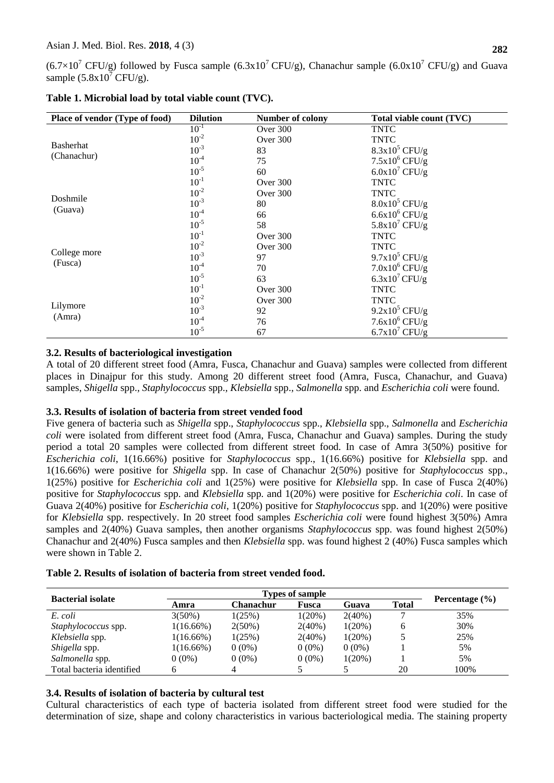$(6.7\times10^7 \text{ CFU/g})$  followed by Fusca sample  $(6.3\times10^7 \text{ CFU/g})$ , Chanachur sample  $(6.0\times10^7 \text{ CFU/g})$  and Guava sample  $(5.8x10^7$  CFU/g).

| Place of vendor (Type of food) | <b>Dilution</b> | Number of colony | Total viable count (TVC) |
|--------------------------------|-----------------|------------------|--------------------------|
|                                | $10^{-1}$       | Over 300         | <b>TNTC</b>              |
| Basherhat                      | $10^{-2}$       | Over 300         | <b>TNTC</b>              |
|                                | $10^{-3}$       | 83               | $8.3x105$ CFU/g          |
| (Chanachur)                    | $10^{-4}$       | 75               | $7.5x10^6$ CFU/g         |
|                                | $10^{-5}$       | 60               | $6.0x10^7$ CFU/g         |
|                                | $10^{-1}$       | Over 300         | <b>TNTC</b>              |
|                                | $10^{-2}$       | Over 300         | <b>TNTC</b>              |
| Doshmile                       | $10^{-3}$       | 80               | $8.0x105$ CFU/g          |
| (Guava)                        | $10^{-4}$       | 66               | $6.6x10^6$ CFU/g         |
|                                | $10^{-5}$       | 58               | $5.8x10^7$ CFU/g         |
|                                | $10^{-1}$       | Over 300         | <b>TNTC</b>              |
|                                | $10^{-2}$       | Over 300         | <b>TNTC</b>              |
| College more                   | $10^{-3}$       | 97               | $9.7x10^5$ CFU/g         |
| (Fusca)                        | $10^{-4}$       | 70               | $7.0x10^6$ CFU/g         |
|                                | $10^{-5}$       | 63               | $6.3x10^7$ CFU/g         |
|                                | $10^{-1}$       | Over 300         | <b>TNTC</b>              |
|                                | $10^{-2}$       | Over 300         | <b>TNTC</b>              |
| Lilymore                       | $10^{-3}$       | 92               | $9.2x105$ CFU/g          |
| (Amra)                         | $10^{-4}$       | 76               | $7.6x10^6$ CFU/g         |
|                                | $10^{-5}$       | 67               | $6.7x10^7$ CFU/g         |

**Table 1. Microbial load by total viable count (TVC).**

#### **3.2. Results of bacteriological investigation**

A total of 20 different street food (Amra, Fusca, Chanachur and Guava) samples were collected from different places in Dinajpur for this study. Among 20 different street food (Amra, Fusca, Chanachur, and Guava) samples, *Shigella* spp.*, Staphylococcus* spp.*, Klebsiella* spp.*, Salmonella* spp. and *Escherichia coli* were found.

#### **3.3. Results of isolation of bacteria from street vended food**

Five genera of bacteria such as *Shigella* spp., *Staphylococcus* spp., *Klebsiella* spp., *Salmonella* and *Escherichia coli* were isolated from different street food (Amra, Fusca, Chanachur and Guava) samples. During the study period a total 20 samples were collected from different street food. In case of Amra 3(50%) positive for *Escherichia coli*, 1(16.66%) positive for *Staphylococcus* spp., 1(16.66%) positive for *Klebsiella* spp. and 1(16.66%) were positive for *Shigella* spp. In case of Chanachur 2(50%) positive for *Staphylococcus* spp., 1(25%) positive for *Escherichia coli* and 1(25%) were positive for *Klebsiella* spp. In case of Fusca 2(40%) positive for *Staphylococcus* spp. and *Klebsiella* spp. and 1(20%) were positive for *Escherichia coli*. In case of Guava 2(40%) positive for *Escherichia coli*, 1(20%) positive for *Staphylococcus* spp. and 1(20%) were positive for *Klebsiella* spp. respectively. In 20 street food samples *Escherichia coli* were found highest 3(50%) Amra samples and 2(40%) Guava samples, then another organisms *Staphylococcus* spp. was found highest 2(50%) Chanachur and 2(40%) Fusca samples and then *Klebsiella* spp. was found highest 2 (40%) Fusca samples which were shown in Table 2.

| Table 2. Results of isolation of bacteria from street vended food. |  |  |
|--------------------------------------------------------------------|--|--|
|--------------------------------------------------------------------|--|--|

| <b>Bacterial isolate</b>  |              |           |           |           |              |                    |
|---------------------------|--------------|-----------|-----------|-----------|--------------|--------------------|
|                           | Amra         | Chanachur | Fusca     | Guava     | <b>Total</b> | Percentage $(\% )$ |
| E. coli                   | $3(50\%)$    | 1(25%)    | $1(20\%)$ | $2(40\%)$ |              | 35%                |
| Staphylococcus spp.       | $1(16.66\%)$ | $2(50\%)$ | $2(40\%)$ | 1(20%)    | <sub>6</sub> | 30%                |
| Klebsiella spp.           | $1(16.66\%)$ | 1(25%)    | $2(40\%)$ | 1(20%)    |              | 25%                |
| Shigella spp.             | $1(16.66\%)$ | $0(0\%)$  | $0(0\%)$  | $0(0\%)$  |              | 5%                 |
| Salmonella spp.           | $0(0\%)$     | $0(0\%)$  | $0(0\%)$  | 1(20%)    |              | 5%                 |
| Total bacteria identified | h            |           |           |           | 20           | 100%               |

#### **3.4. Results of isolation of bacteria by cultural test**

Cultural characteristics of each type of bacteria isolated from different street food were studied for the determination of size, shape and colony characteristics in various bacteriological media. The staining property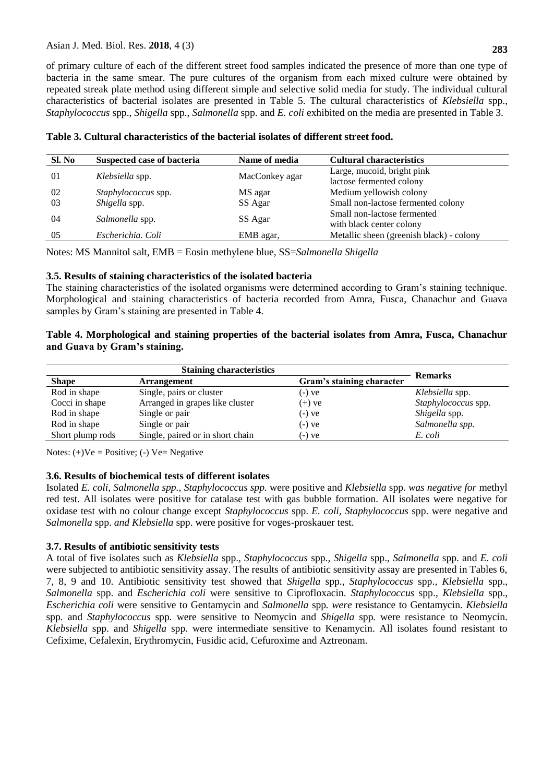#### Asian J. Med. Biol. Res. **2018**, 4 (3)

of primary culture of each of the different street food samples indicated the presence of more than one type of bacteria in the same smear. The pure cultures of the organism from each mixed culture were obtained by repeated streak plate method using different simple and selective solid media for study. The individual cultural characteristics of bacterial isolates are presented in Table 5. The cultural characteristics of *Klebsiella* spp.*, Staphylococcus* spp.*, Shigella* spp., *Salmonella* spp. and *E. coli* exhibited on the media are presented in Table 3.

| Sl. No | Suspected case of bacteria | Name of media  | <b>Cultural characteristics</b>          |
|--------|----------------------------|----------------|------------------------------------------|
| 01     | Klebsiella spp.            | MacConkey agar | Large, mucoid, bright pink               |
|        |                            |                | lactose fermented colony                 |
| 02     | <i>Staphylococcus</i> spp. | MS agar        | Medium yellowish colony                  |
| 03     | Shigella spp.              | SS Agar        | Small non-lactose fermented colony       |
| 04     | Salmonella spp.            | SS Agar        | Small non-lactose fermented              |
|        |                            |                | with black center colony                 |
| 05     | Escherichia. Coli          | EMB agar,      | Metallic sheen (greenish black) - colony |

**Table 3. Cultural characteristics of the bacterial isolates of different street food.** 

Notes: MS Mannitol salt, EMB = Eosin methylene blue, SS=*Salmonella Shigella*

#### **3.5. Results of staining characteristics of the isolated bacteria**

The staining characteristics of the isolated organisms were determined according to Gram's staining technique. Morphological and staining characteristics of bacteria recorded from Amra, Fusca, Chanachur and Guava samples by Gram's staining are presented in Table 4.

## **Table 4. Morphological and staining properties of the bacterial isolates from Amra, Fusca, Chanachur and Guava by Gram's staining.**

|                  | <b>Staining characteristics</b>  |                           |                     |
|------------------|----------------------------------|---------------------------|---------------------|
| <b>Shape</b>     | <b>Arrangement</b>               | Gram's staining character | <b>Remarks</b>      |
| Rod in shape     | Single, pairs or cluster         | (-) ve                    | Klebsiella spp.     |
| Cocci in shape   | Arranged in grapes like cluster  | $(+)$ ve                  | Staphylococcus spp. |
| Rod in shape     | Single or pair                   | (-) ve                    | Shigella spp.       |
| Rod in shape     | Single or pair                   | (-) ve                    | Salmonella spp.     |
| Short plump rods | Single, paired or in short chain | (-) ve                    | E. coli             |

Notes:  $(+)$ Ve = Positive;  $(-)$  Ve= Negative

#### **3.6. Results of biochemical tests of different isolates**

Isolated *E. coli, Salmonella spp., Staphylococcus spp.* were positive and *Klebsiella* spp. *was negative for* methyl red test. All isolates were positive for catalase test with gas bubble formation. All isolates were negative for oxidase test with no colour change except *Staphylococcus* spp. *E. coli, Staphylococcus* spp. were negative and *Salmonella* spp. *and Klebsiella* spp. were positive for voges-proskauer test.

## **3.7. Results of antibiotic sensitivity tests**

A total of five isolates such as *Klebsiella* spp.*, Staphylococcus* spp.*, Shigella* spp.*, Salmonella* spp. and *E. coli*  were subjected to antibiotic sensitivity assay. The results of antibiotic sensitivity assay are presented in Tables 6, 7, 8, 9 and 10. Antibiotic sensitivity test showed that *Shigella* spp.*, Staphylococcus* spp.*, Klebsiella* spp.*, Salmonella* spp. and *Escherichia coli* were sensitive to Ciprofloxacin. *Staphylococcus* spp.*, Klebsiella* spp.*, Escherichia coli* were sensitive to Gentamycin and *Salmonella* spp*. were* resistance to Gentamycin. *Klebsiella*  spp*.* and *Staphylococcus* spp*.* were sensitive to Neomycin and *Shigella* spp*.* were resistance to Neomycin. *Klebsiella* spp. and *Shigella* spp*.* were intermediate sensitive to Kenamycin. All isolates found resistant to Cefixime, Cefalexin, Erythromycin, Fusidic acid, Cefuroxime and Aztreonam.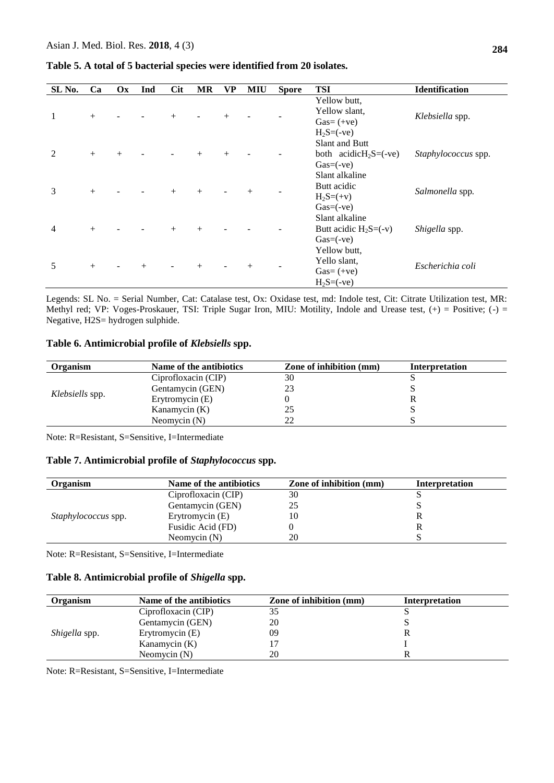| SL No. | Ca  | Ox  | Ind | <b>Cit</b> | <b>MR</b> | VP | MIU    | <b>Spore</b> | <b>TSI</b>                                                                         | <b>Identification</b> |
|--------|-----|-----|-----|------------|-----------|----|--------|--------------|------------------------------------------------------------------------------------|-----------------------|
| 1      | $+$ |     |     | $+$        |           |    |        |              | Yellow butt,<br>Yellow slant,<br>$\text{Gas} = (+\text{ve})$<br>$H_2S=(-ve)$       | Klebsiella spp.       |
| 2      | $+$ | $+$ |     |            |           |    |        |              | <b>Slant and Butt</b><br>both acidic $H_2S = (-ve)$<br>$\text{Gas} = (-\text{ve})$ | Staphylococcus spp.   |
| 3      | $+$ |     |     | $+$        | $+$       |    | $^{+}$ |              | Slant alkaline<br>Butt acidic<br>$H_2S=(+v)$<br>$Gas=(-ve)$                        | Salmonella spp.       |
| 4      | $+$ |     |     | $+$        | $+$       |    |        |              | Slant alkaline<br>Butt acidic $H_2S=(-v)$<br>$\text{Gas} = (-\text{ve})$           | Shigella spp.         |
| 5      |     |     | $+$ |            |           |    | $^{+}$ |              | Yellow butt,<br>Yello slant,<br>$\text{Gas} = (+\text{ve})$<br>$H_2S=(-ve)$        | Escherichia coli      |

**Table 5. A total of 5 bacterial species were identified from 20 isolates.** 

Legends: SL No. = Serial Number, Cat: Catalase test, Ox: Oxidase test, md: Indole test, Cit: Citrate Utilization test, MR: Methyl red; VP: Voges-Proskauer, TSI: Triple Sugar Iron, MIU: Motility, Indole and Urease test, (+) = Positive; (-) = Negative, H2S= hydrogen sulphide.

## **Table 6. Antimicrobial profile of** *Klebsiells* **spp.**

| Organism               | Name of the antibiotics | <b>Zone of inhibition (mm)</b> | <b>Interpretation</b> |
|------------------------|-------------------------|--------------------------------|-----------------------|
|                        | Ciprofloxacin (CIP)     | 30                             |                       |
|                        | Gentamycin (GEN)        | 23                             |                       |
| <i>Klebsiells</i> spp. | Erytromycin (E)         |                                |                       |
|                        | Kanamycin $(K)$         | 25                             |                       |
|                        | Neomycin $(N)$          |                                |                       |

Note: R=Resistant, S=Sensitive, I=Intermediate

## **Table 7. Antimicrobial profile of** *Staphylococcus* **spp.**

| Organism                   | Name of the antibiotics | Zone of inhibition (mm) | <b>Interpretation</b> |
|----------------------------|-------------------------|-------------------------|-----------------------|
|                            | Ciprofloxacin (CIP)     | 30                      |                       |
|                            | Gentamycin (GEN)        | 25                      |                       |
| <i>Staphylococcus</i> spp. | Erytromycin (E)         | 10                      |                       |
|                            | Fusidic Acid (FD)       |                         |                       |
|                            | Neomycin $(N)$          | 20                      |                       |

Note: R=Resistant, S=Sensitive, I=Intermediate

## **Table 8. Antimicrobial profile of** *Shigella* **spp.**

| Organism             | Name of the antibiotics | <b>Zone of inhibition (mm)</b> | Interpretation |  |
|----------------------|-------------------------|--------------------------------|----------------|--|
|                      | Ciprofloxacin (CIP)     |                                |                |  |
|                      | Gentamycin (GEN)        | 20                             | د،             |  |
| <i>Shigella</i> spp. | Erytromycin (E)         | 09                             |                |  |
|                      | Kanamycin $(K)$         |                                |                |  |
|                      | Neomycin $(N)$          | 20                             |                |  |

Note: R=Resistant, S=Sensitive, I=Intermediate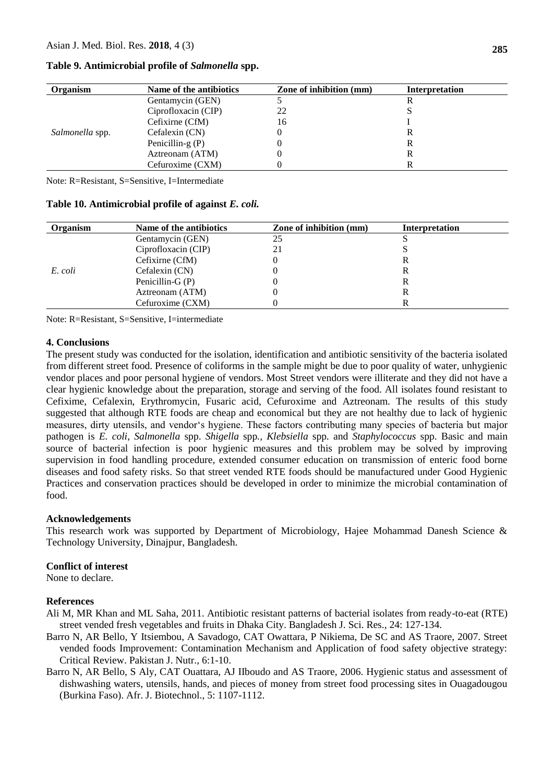| Organism               | Name of the antibiotics | Zone of inhibition (mm) | <b>Interpretation</b> |
|------------------------|-------------------------|-------------------------|-----------------------|
|                        | Gentamycin (GEN)        |                         |                       |
|                        | Ciprofloxacin (CIP)     | 22                      |                       |
|                        | Cefixirne (CfM)         | 16                      |                       |
| <i>Salmonella</i> spp. | Cefalexin(CN)           |                         |                       |
|                        | Penicillin- $g(P)$      |                         |                       |
|                        | Aztreonam (ATM)         |                         |                       |
|                        | Cefuroxime (CXM)        |                         |                       |

**Table 9. Antimicrobial profile of** *Salmonella* **spp.**

Note: R=Resistant, S=Sensitive, I=Intermediate

**Table 10. Antimicrobial profile of against** *E. coli.*

| <b>Organism</b> | Name of the antibiotics | Zone of inhibition (mm) | <b>Interpretation</b> |
|-----------------|-------------------------|-------------------------|-----------------------|
|                 | Gentamycin (GEN)        | 25                      | C                     |
|                 | Ciprofloxacin (CIP)     | 21                      | د                     |
|                 | Cefixirne (CfM)         |                         |                       |
| E. coli         | Cefalexin (CN)          |                         | R                     |
|                 | Penicillin- $G(P)$      |                         | ĸ                     |
|                 | Aztreonam (ATM)         |                         | ĸ                     |
|                 | Cefuroxime (CXM)        |                         |                       |

Note: R=Resistant, S=Sensitive, I=intermediate

#### **4. Conclusions**

The present study was conducted for the isolation, identification and antibiotic sensitivity of the bacteria isolated from different street food. Presence of coliforms in the sample might be due to poor quality of water, unhygienic vendor places and poor personal hygiene of vendors. Most Street vendors were illiterate and they did not have a clear hygienic knowledge about the preparation, storage and serving of the food. All isolates found resistant to Cefixime, Cefalexin, Erythromycin, Fusaric acid, Cefuroxime and Aztreonam. The results of this study suggested that although RTE foods are cheap and economical but they are not healthy due to lack of hygienic measures, dirty utensils, and vendor's hygiene. These factors contributing many species of bacteria but major pathogen is *E. coli*, *Salmonella* spp. *Shigella* spp*., Klebsiella* spp*.* and *Staphylococcus* spp. Basic and main source of bacterial infection is poor hygienic measures and this problem may be solved by improving supervision in food handling procedure, extended consumer education on transmission of enteric food borne diseases and food safety risks. So that street vended RTE foods should be manufactured under Good Hygienic Practices and conservation practices should be developed in order to minimize the microbial contamination of food.

#### **Acknowledgements**

This research work was supported by Department of Microbiology, Hajee Mohammad Danesh Science & Technology University, Dinajpur, Bangladesh.

#### **Conflict of interest**

None to declare.

#### **References**

- Ali M, MR Khan and ML Saha, 2011. Antibiotic resistant patterns of bacterial isolates from ready-to-eat (RTE) street vended fresh vegetables and fruits in Dhaka City. Bangladesh J. Sci. Res., 24: 127-134.
- Barro N, AR Bello, Y Itsiembou, A Savadogo, CAT Owattara, P Nikiema, De SC and AS Traore, 2007. Street vended foods Improvement: Contamination Mechanism and Application of food safety objective strategy: Critical Review. Pakistan J. Nutr., 6:1-10.
- Barro N, AR Bello, S Aly, CAT Ouattara, AJ IIboudo and AS Traore, 2006. Hygienic status and assessment of dishwashing waters, utensils, hands, and pieces of money from street food processing sites in Ouagadougou (Burkina Faso). Afr. J. Biotechnol., 5: 1107-1112.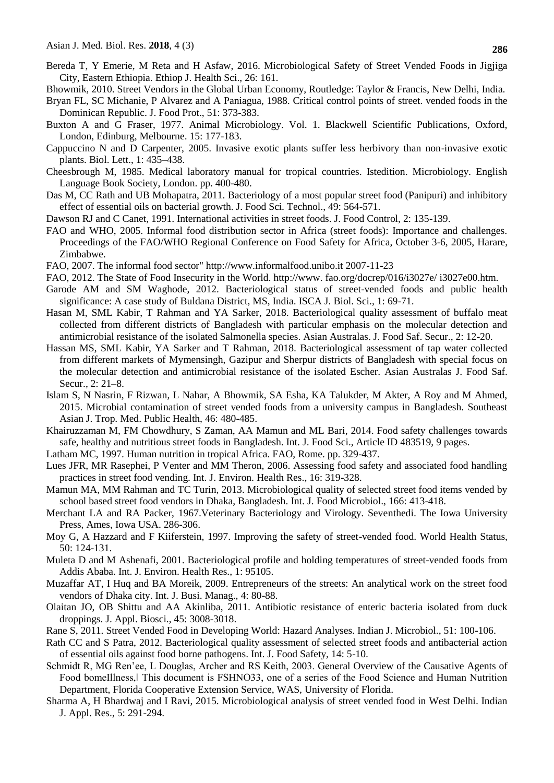- Bereda T, Y Emerie, M Reta and H Asfaw, 2016. Microbiological Safety of Street Vended Foods in Jigjiga City, Eastern Ethiopia. Ethiop J. Health Sci., 26: 161.
- Bhowmik, 2010. Street Vendors in the Global Urban Economy, Routledge: Taylor & Francis, New Delhi, India.
- Bryan FL, SC Michanie, P Alvarez and A Paniagua, 1988. Critical control points of street. vended foods in the Dominican Republic. J. Food Prot., 51: 373-383.
- Buxton A and G Fraser, 1977. Animal Microbiology. Vol. 1. Blackwell Scientific Publications, Oxford, London, Edinburg, Melbourne. 15: 177-183.
- Cappuccino N and D Carpenter, 2005. Invasive exotic plants suffer less herbivory than non-invasive exotic plants. Biol. Lett., 1: 435–438.
- Cheesbrough M, 1985. Medical laboratory manual for tropical countries. Istedition. Microbiology. English Language Book Society, London. pp. 400-480.
- Das M, CC Rath and UB Mohapatra, 2011. Bacteriology of a most popular street food (Panipuri) and inhibitory effect of essential oils on bacterial growth. J. Food Sci. Technol., 49: 564-571.
- Dawson RJ and C Canet, 1991. International activities in street foods. J. Food Control, 2: 135-139.
- FAO and WHO, 2005. Informal food distribution sector in Africa (street foods): Importance and challenges. Proceedings of the FAO/WHO Regional Conference on Food Safety for Africa, October 3-6, 2005, Harare, Zimbabwe.
- FAO, 2007. The informal food sector" http://www.informalfood.unibo.it 2007-11-23
- FAO, 2012. The State of Food Insecurity in the World. http://www. fao.org/docrep/016/i3027e/ i3027e00.htm.
- Garode AM and SM Waghode, 2012. Bacteriological status of street-vended foods and public health significance: A case study of Buldana District, MS, India. ISCA J. Biol. Sci., 1: 69-71.
- Hasan M, SML Kabir, T Rahman and YA Sarker, 2018. Bacteriological quality assessment of buffalo meat collected from different districts of Bangladesh with particular emphasis on the molecular detection and antimicrobial resistance of the isolated Salmonella species. Asian Australas. J. Food Saf. Secur., 2: 12-20.
- Hassan MS, SML Kabir, YA Sarker and T Rahman, 2018. Bacteriological assessment of tap water collected from different markets of Mymensingh, Gazipur and Sherpur districts of Bangladesh with special focus on the molecular detection and antimicrobial resistance of the isolated Escher. Asian Australas J. Food Saf. Secur., 2: 21–8.
- Islam S, N Nasrin, F Rizwan, L Nahar, A Bhowmik, SA Esha, KA Talukder, M Akter, A Roy and M Ahmed, 2015. Microbial contamination of street vended foods from a university campus in Bangladesh. Southeast Asian J. Trop. Med. Public Health, 46: 480-485.
- Khairuzzaman M, FM Chowdhury, S Zaman, AA Mamun and ML Bari, 2014. Food safety challenges towards safe, healthy and nutritious street foods in Bangladesh. Int. J. Food Sci., Article ID 483519, 9 pages.
- Latham MC, 1997. Human nutrition in tropical Africa. FAO, Rome. pp. 329-437.
- Lues JFR, MR Rasephei, P Venter and MM Theron, 2006. Assessing food safety and associated food handling practices in street food vending. Int. J. Environ. Health Res., 16: 319-328.
- Mamun MA, MM Rahman and TC Turin, 2013. Microbiological quality of selected street food items vended by school based street food vendors in Dhaka, Bangladesh. Int. J. Food Microbiol., 166: 413-418.
- Merchant LA and RA Packer, 1967.Veterinary Bacteriology and Virology. Seventhedi. The Iowa University Press, Ames, Iowa USA. 286-306.
- Moy G, A Hazzard and F Kiiferstein, 1997. Improving the safety of street-vended food. World Health Status, 50: 124-131.
- Muleta D and M Ashenafi, 2001. Bacteriological profile and holding temperatures of street-vended foods from Addis Ababa. Int. J. Environ. Health Res., 1: 95105.
- Muzaffar AT, I Huq and BA Moreik, 2009. Entrepreneurs of the streets: An analytical work on the street food vendors of Dhaka city. Int. J. Busi. Manag., 4: 80-88.
- Olaitan JO, OB Shittu and AA Akinliba, 2011. Antibiotic resistance of enteric bacteria isolated from duck droppings. J. Appl. Biosci., 45: 3008-3018.
- Rane S, 2011. Street Vended Food in Developing World: Hazard Analyses. Indian J. Microbiol., 51: 100-106.
- Rath CC and S Patra, 2012. Bacteriological quality assessment of selected street foods and antibacterial action of essential oils against food borne pathogens. Int. J. Food Safety, 14: 5-10.
- Schmidt R, MG Ren'ee, L Douglas, Archer and RS Keith, 2003. General Overview of the Causative Agents of Food bomeIllness, This document is FSHNO33, one of a series of the Food Science and Human Nutrition Department, Florida Cooperative Extension Service, WAS, University of Florida.
- Sharma A, H Bhardwaj and I Ravi, 2015. Microbiological analysis of street vended food in West Delhi. Indian J. Appl. Res., 5: 291-294.